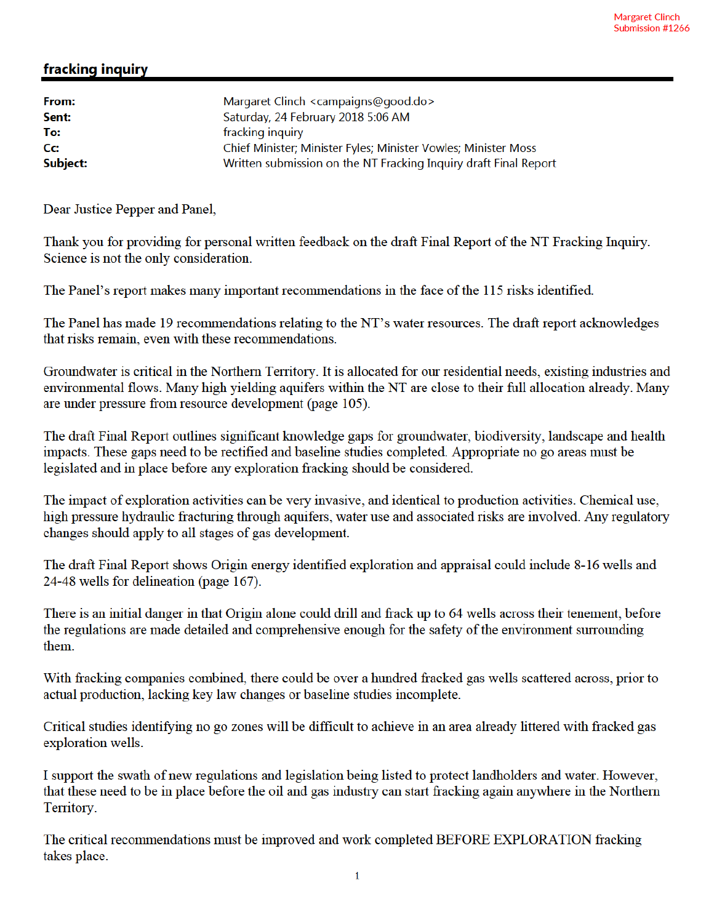## fracking inquiry

| Margaret Clinch <campaigns@good.do></campaigns@good.do>          |
|------------------------------------------------------------------|
| Saturday, 24 February 2018 5:06 AM                               |
| fracking inquiry                                                 |
| Chief Minister; Minister Fyles; Minister Vowles; Minister Moss   |
| Written submission on the NT Fracking Inquiry draft Final Report |
|                                                                  |

Dear Justice Pepper and Panel,

Thank you for providing for personal written feedback on the draft Final Report of the NT Fracking Inquiry. Science is not the only consideration.

The Panel's report makes many important recommendations in the face of the 115 risks identified.

The Panel has made 19 recommendations relating to the NT's water resources. The draft report acknowledges that risks remain, even with these recommendations.

Groundwater is critical in the Northern Territory. It is allocated for our residential needs, existing industries and environmental flows. Many high yielding aquifers within the NT are close to their full allocation already. Many are under pressure from resource development (page 105).

The draft Final Report outlines significant knowledge gaps for groundwater, biodiversity, landscape and health impacts. These gaps need to be rectified and baseline studies completed. Appropriate no go areas must be legislated and in place before any exploration fracking should be considered.

The impact of exploration activities can be very invasive, and identical to production activities. Chemical use, high pressure hydraulic fracturing through aquifers, water use and associated risks are involved. Any regulatory changes should apply to all stages of gas development.

The draft Final Report shows Origin energy identified exploration and appraisal could include 8-16 wells and 24-48 wells for delineation (page 167).

There is an initial danger in that Origin alone could drill and frack up to 64 wells across their tenement, before the regulations are made detailed and comprehensive enough for the safety of the environment surrounding them.

With fracking companies combined, there could be over a hundred fracked gas wells scattered across, prior to actual production, lacking key law changes or baseline studies incomplete.

Critical studies identifying no go zones will be difficult to achieve in an area already littered with fracked gas exploration wells.

I support the swath of new regulations and legislation being listed to protect landholders and water. However, that these need to be in place before the oil and gas industry can start fracking again anywhere in the Northern Territory.

The critical recommendations must be improved and work completed BEFORE EXPLORATION fracking takes place.